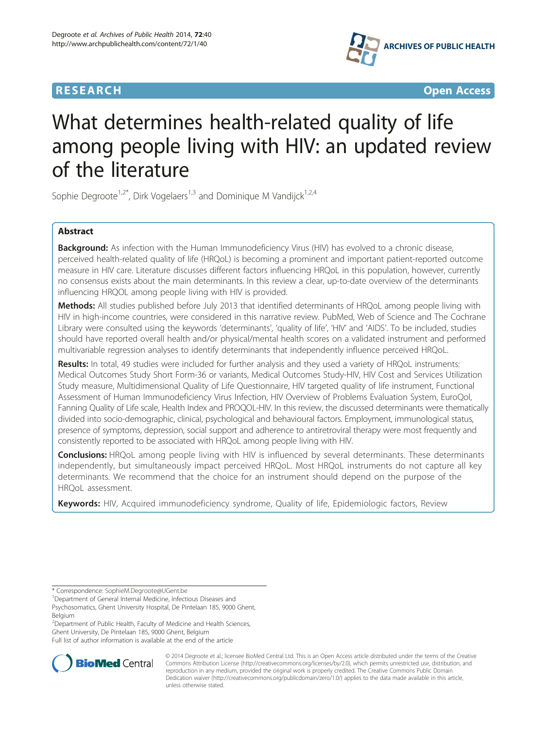



# What determines health-related quality of life among people living with HIV: an updated review of the literature

Sophie Degroote<sup>1,2\*</sup>, Dirk Vogelaers<sup>1,3</sup> and Dominique M Vandijck<sup>1,2,4</sup>

# Abstract

Background: As infection with the Human Immunodeficiency Virus (HIV) has evolved to a chronic disease, perceived health-related quality of life (HRQoL) is becoming a prominent and important patient-reported outcome measure in HIV care. Literature discusses different factors influencing HRQoL in this population, however, currently no consensus exists about the main determinants. In this review a clear, up-to-date overview of the determinants influencing HRQOL among people living with HIV is provided.

Methods: All studies published before July 2013 that identified determinants of HRQoL among people living with HIV in high-income countries, were considered in this narrative review. PubMed, Web of Science and The Cochrane Library were consulted using the keywords 'determinants', 'quality of life', 'HIV' and 'AIDS'. To be included, studies should have reported overall health and/or physical/mental health scores on a validated instrument and performed multivariable regression analyses to identify determinants that independently influence perceived HRQoL.

Results: In total, 49 studies were included for further analysis and they used a variety of HRQoL instruments: Medical Outcomes Study Short Form-36 or variants, Medical Outcomes Study-HIV, HIV Cost and Services Utilization Study measure, Multidimensional Quality of Life Questionnaire, HIV targeted quality of life instrument, Functional Assessment of Human Immunodeficiency Virus Infection, HIV Overview of Problems Evaluation System, EuroQol, Fanning Quality of Life scale, Health Index and PROQOL-HIV. In this review, the discussed determinants were thematically divided into socio-demographic, clinical, psychological and behavioural factors. Employment, immunological status, presence of symptoms, depression, social support and adherence to antiretroviral therapy were most frequently and consistently reported to be associated with HRQoL among people living with HIV.

Conclusions: HRQoL among people living with HIV is influenced by several determinants. These determinants independently, but simultaneously impact perceived HRQoL. Most HRQoL instruments do not capture all key determinants. We recommend that the choice for an instrument should depend on the purpose of the HRQoL assessment.

Keywords: HIV, Acquired immunodeficiency syndrome, Quality of life, Epidemiologic factors, Review

\* Correspondence: [SophieM.Degroote@UGent.be](mailto:SophieM.Degroote@UGent.be) <sup>1</sup>

<sup>1</sup>Department of General Internal Medicine, Infectious Diseases and

<sup>2</sup>Department of Public Health, Faculty of Medicine and Health Sciences, Ghent University, De Pintelaan 185, 9000 Ghent, Belgium

Full list of author information is available at the end of the article



© 2014 Degroote et al.; licensee BioMed Central Ltd. This is an Open Access article distributed under the terms of the Creative Commons Attribution License [\(http://creativecommons.org/licenses/by/2.0\)](http://creativecommons.org/licenses/by/2.0), which permits unrestricted use, distribution, and reproduction in any medium, provided the original work is properly credited. The Creative Commons Public Domain Dedication waiver [\(http://creativecommons.org/publicdomain/zero/1.0/](http://creativecommons.org/publicdomain/zero/1.0/)) applies to the data made available in this article, unless otherwise stated.

Psychosomatics, Ghent University Hospital, De Pintelaan 185, 9000 Ghent, Belgium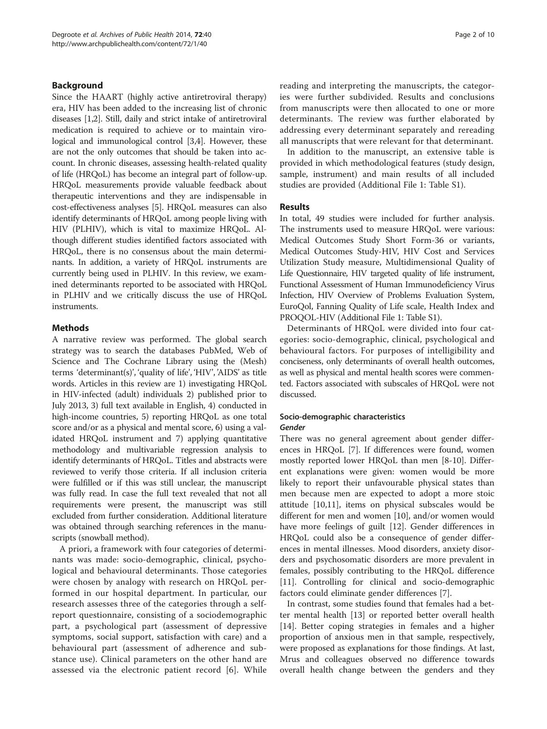# Background

Since the HAART (highly active antiretroviral therapy) era, HIV has been added to the increasing list of chronic diseases [[1,2\]](#page-6-0). Still, daily and strict intake of antiretroviral medication is required to achieve or to maintain virological and immunological control [[3,4](#page-7-0)]. However, these are not the only outcomes that should be taken into account. In chronic diseases, assessing health-related quality of life (HRQoL) has become an integral part of follow-up. HRQoL measurements provide valuable feedback about therapeutic interventions and they are indispensable in cost-effectiveness analyses [\[5](#page-7-0)]. HRQoL measures can also identify determinants of HRQoL among people living with HIV (PLHIV), which is vital to maximize HRQoL. Although different studies identified factors associated with HRQoL, there is no consensus about the main determinants. In addition, a variety of HRQoL instruments are currently being used in PLHIV. In this review, we examined determinants reported to be associated with HRQoL in PLHIV and we critically discuss the use of HRQoL instruments.

# **Methods**

A narrative review was performed. The global search strategy was to search the databases PubMed, Web of Science and The Cochrane Library using the (Mesh) terms 'determinant(s)', 'quality of life', 'HIV', 'AIDS' as title words. Articles in this review are 1) investigating HRQoL in HIV-infected (adult) individuals 2) published prior to July 2013, 3) full text available in English, 4) conducted in high-income countries, 5) reporting HRQoL as one total score and/or as a physical and mental score, 6) using a validated HRQoL instrument and 7) applying quantitative methodology and multivariable regression analysis to identify determinants of HRQoL. Titles and abstracts were reviewed to verify those criteria. If all inclusion criteria were fulfilled or if this was still unclear, the manuscript was fully read. In case the full text revealed that not all requirements were present, the manuscript was still excluded from further consideration. Additional literature was obtained through searching references in the manuscripts (snowball method).

A priori, a framework with four categories of determinants was made: socio-demographic, clinical, psychological and behavioural determinants. Those categories were chosen by analogy with research on HRQoL performed in our hospital department. In particular, our research assesses three of the categories through a selfreport questionnaire, consisting of a sociodemographic part, a psychological part (assessment of depressive symptoms, social support, satisfaction with care) and a behavioural part (assessment of adherence and substance use). Clinical parameters on the other hand are assessed via the electronic patient record [\[6](#page-7-0)]. While reading and interpreting the manuscripts, the categories were further subdivided. Results and conclusions from manuscripts were then allocated to one or more determinants. The review was further elaborated by addressing every determinant separately and rereading all manuscripts that were relevant for that determinant.

In addition to the manuscript, an extensive table is provided in which methodological features (study design, sample, instrument) and main results of all included studies are provided (Additional File [1:](#page-6-0) Table S1).

# Results

In total, 49 studies were included for further analysis. The instruments used to measure HRQoL were various: Medical Outcomes Study Short Form-36 or variants, Medical Outcomes Study-HIV, HIV Cost and Services Utilization Study measure, Multidimensional Quality of Life Questionnaire, HIV targeted quality of life instrument, Functional Assessment of Human Immunodeficiency Virus Infection, HIV Overview of Problems Evaluation System, EuroQol, Fanning Quality of Life scale, Health Index and PROQOL-HIV (Additional File [1](#page-6-0): Table S1).

Determinants of HRQoL were divided into four categories: socio-demographic, clinical, psychological and behavioural factors. For purposes of intelligibility and conciseness, only determinants of overall health outcomes, as well as physical and mental health scores were commented. Factors associated with subscales of HRQoL were not discussed.

#### Socio-demographic characteristics Gender

There was no general agreement about gender differences in HRQoL [\[7](#page-7-0)]. If differences were found, women mostly reported lower HRQoL than men [\[8](#page-7-0)-[10](#page-7-0)]. Different explanations were given: women would be more likely to report their unfavourable physical states than men because men are expected to adopt a more stoic attitude [\[10,11](#page-7-0)], items on physical subscales would be different for men and women [\[10\]](#page-7-0), and/or women would have more feelings of guilt [\[12](#page-7-0)]. Gender differences in HRQoL could also be a consequence of gender differences in mental illnesses. Mood disorders, anxiety disorders and psychosomatic disorders are more prevalent in females, possibly contributing to the HRQoL difference [[11\]](#page-7-0). Controlling for clinical and socio-demographic factors could eliminate gender differences [[7\]](#page-7-0).

In contrast, some studies found that females had a better mental health [[13\]](#page-7-0) or reported better overall health [[14\]](#page-7-0). Better coping strategies in females and a higher proportion of anxious men in that sample, respectively, were proposed as explanations for those findings. At last, Mrus and colleagues observed no difference towards overall health change between the genders and they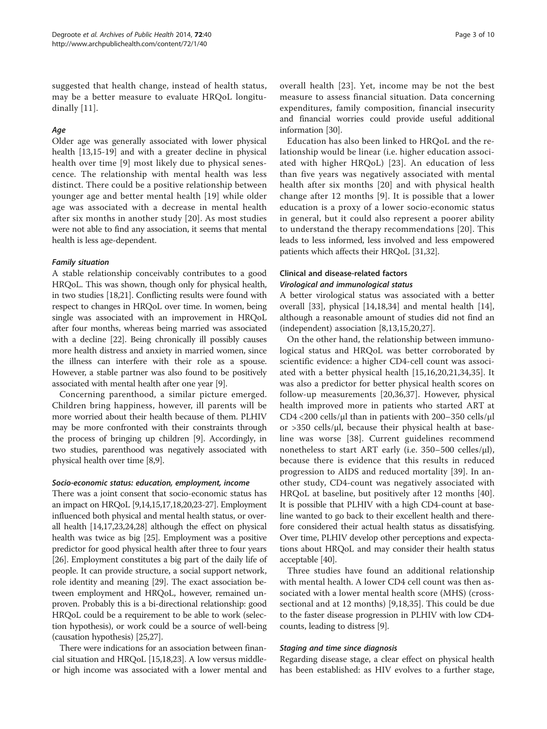suggested that health change, instead of health status, may be a better measure to evaluate HRQoL longitudinally [[11](#page-7-0)].

# Age

Older age was generally associated with lower physical health [[13,15-19](#page-7-0)] and with a greater decline in physical health over time [[9](#page-7-0)] most likely due to physical senescence. The relationship with mental health was less distinct. There could be a positive relationship between younger age and better mental health [[19\]](#page-7-0) while older age was associated with a decrease in mental health after six months in another study [\[20\]](#page-7-0). As most studies were not able to find any association, it seems that mental health is less age-dependent.

## Family situation

A stable relationship conceivably contributes to a good HRQoL. This was shown, though only for physical health, in two studies [[18](#page-7-0),[21](#page-7-0)]. Conflicting results were found with respect to changes in HRQoL over time. In women, being single was associated with an improvement in HRQoL after four months, whereas being married was associated with a decline [\[22\]](#page-7-0). Being chronically ill possibly causes more health distress and anxiety in married women, since the illness can interfere with their role as a spouse. However, a stable partner was also found to be positively associated with mental health after one year [[9](#page-7-0)].

Concerning parenthood, a similar picture emerged. Children bring happiness, however, ill parents will be more worried about their health because of them. PLHIV may be more confronted with their constraints through the process of bringing up children [\[9](#page-7-0)]. Accordingly, in two studies, parenthood was negatively associated with physical health over time [\[8,9\]](#page-7-0).

## Socio-economic status: education, employment, income

There was a joint consent that socio-economic status has an impact on HRQoL [\[9,14,15,17,18,20,23-27\]](#page-7-0). Employment influenced both physical and mental health status, or overall health [\[14,17,23,24,28](#page-7-0)] although the effect on physical health was twice as big [\[25](#page-7-0)]. Employment was a positive predictor for good physical health after three to four years [[26](#page-7-0)]. Employment constitutes a big part of the daily life of people. It can provide structure, a social support network, role identity and meaning [\[29](#page-7-0)]. The exact association between employment and HRQoL, however, remained unproven. Probably this is a bi-directional relationship: good HRQoL could be a requirement to be able to work (selection hypothesis), or work could be a source of well-being (causation hypothesis) [\[25,27](#page-7-0)].

There were indications for an association between financial situation and HRQoL [[15,18,23\]](#page-7-0). A low versus middleor high income was associated with a lower mental and

overall health [[23\]](#page-7-0). Yet, income may be not the best measure to assess financial situation. Data concerning expenditures, family composition, financial insecurity and financial worries could provide useful additional information [[30\]](#page-7-0).

Education has also been linked to HRQoL and the relationship would be linear (i.e. higher education associated with higher HRQoL) [\[23\]](#page-7-0). An education of less than five years was negatively associated with mental health after six months [[20](#page-7-0)] and with physical health change after 12 months [[9](#page-7-0)]. It is possible that a lower education is a proxy of a lower socio-economic status in general, but it could also represent a poorer ability to understand the therapy recommendations [[20](#page-7-0)]. This leads to less informed, less involved and less empowered patients which affects their HRQoL [\[31,32](#page-7-0)].

## Clinical and disease-related factors Virological and immunological status

A better virological status was associated with a better overall [\[33](#page-7-0)], physical [\[14,18,34](#page-7-0)] and mental health [\[14](#page-7-0)], although a reasonable amount of studies did not find an (independent) association [[8,13,15,20,27\]](#page-7-0).

On the other hand, the relationship between immunological status and HRQoL was better corroborated by scientific evidence: a higher CD4-cell count was associated with a better physical health [[15,16,20](#page-7-0),[21,34,35](#page-7-0)]. It was also a predictor for better physical health scores on follow-up measurements [\[20](#page-7-0),[36,37\]](#page-7-0). However, physical health improved more in patients who started ART at CD4 <200 cells/μl than in patients with 200–350 cells/μl or >350 cells/μl, because their physical health at baseline was worse [[38\]](#page-7-0). Current guidelines recommend nonetheless to start ART early (i.e. 350–500 celles/μl), because there is evidence that this results in reduced progression to AIDS and reduced mortality [[39\]](#page-7-0). In another study, CD4-count was negatively associated with HRQoL at baseline, but positively after 12 months [\[40](#page-7-0)]. It is possible that PLHIV with a high CD4-count at baseline wanted to go back to their excellent health and therefore considered their actual health status as dissatisfying. Over time, PLHIV develop other perceptions and expectations about HRQoL and may consider their health status acceptable [\[40\]](#page-7-0).

Three studies have found an additional relationship with mental health. A lower CD4 cell count was then associated with a lower mental health score (MHS) (crosssectional and at 12 months) [\[9](#page-7-0),[18,35\]](#page-7-0). This could be due to the faster disease progression in PLHIV with low CD4 counts, leading to distress [[9\]](#page-7-0).

## Staging and time since diagnosis

Regarding disease stage, a clear effect on physical health has been established: as HIV evolves to a further stage,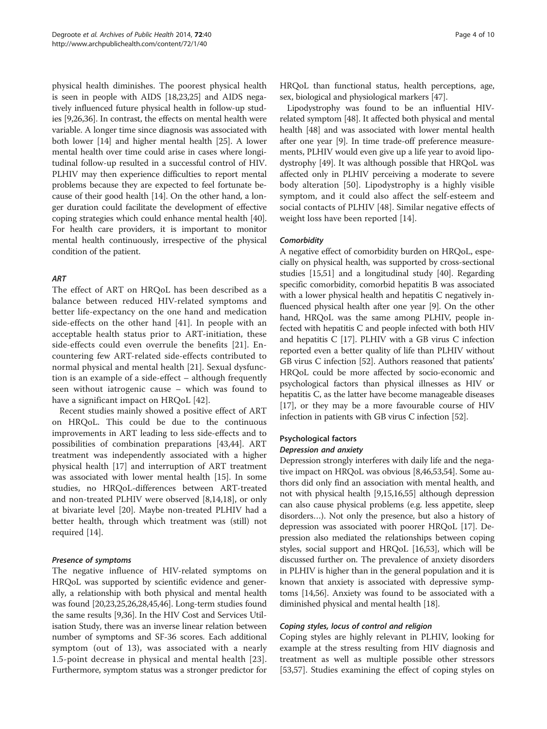physical health diminishes. The poorest physical health is seen in people with AIDS [[18,23,25\]](#page-7-0) and AIDS negatively influenced future physical health in follow-up studies [\[9,26](#page-7-0),[36](#page-7-0)]. In contrast, the effects on mental health were variable. A longer time since diagnosis was associated with both lower [[14](#page-7-0)] and higher mental health [\[25\]](#page-7-0). A lower mental health over time could arise in cases where longitudinal follow-up resulted in a successful control of HIV. PLHIV may then experience difficulties to report mental problems because they are expected to feel fortunate because of their good health [[14\]](#page-7-0). On the other hand, a longer duration could facilitate the development of effective coping strategies which could enhance mental health [[40](#page-7-0)]. For health care providers, it is important to monitor mental health continuously, irrespective of the physical condition of the patient.

# ART

The effect of ART on HRQoL has been described as a balance between reduced HIV-related symptoms and better life-expectancy on the one hand and medication side-effects on the other hand [[41](#page-7-0)]. In people with an acceptable health status prior to ART-initiation, these side-effects could even overrule the benefits [[21\]](#page-7-0). Encountering few ART-related side-effects contributed to normal physical and mental health [[21\]](#page-7-0). Sexual dysfunction is an example of a side-effect – although frequently seen without iatrogenic cause – which was found to have a significant impact on HRQoL [[42\]](#page-7-0).

Recent studies mainly showed a positive effect of ART on HRQoL. This could be due to the continuous improvements in ART leading to less side-effects and to possibilities of combination preparations [[43,44\]](#page-7-0). ART treatment was independently associated with a higher physical health [[17](#page-7-0)] and interruption of ART treatment was associated with lower mental health [\[15](#page-7-0)]. In some studies, no HRQoL-differences between ART-treated and non-treated PLHIV were observed [[8,14](#page-7-0),[18](#page-7-0)], or only at bivariate level [\[20](#page-7-0)]. Maybe non-treated PLHIV had a better health, through which treatment was (still) not required [\[14](#page-7-0)].

# Presence of symptoms

The negative influence of HIV-related symptoms on HRQoL was supported by scientific evidence and generally, a relationship with both physical and mental health was found [\[20,23,25,26,28,45,](#page-7-0)[46](#page-8-0)]. Long-term studies found the same results [\[9,36\]](#page-7-0). In the HIV Cost and Services Utilisation Study, there was an inverse linear relation between number of symptoms and SF-36 scores. Each additional symptom (out of 13), was associated with a nearly 1.5-point decrease in physical and mental health [[23](#page-7-0)]. Furthermore, symptom status was a stronger predictor for HRQoL than functional status, health perceptions, age, sex, biological and physiological markers [[47](#page-8-0)].

Lipodystrophy was found to be an influential HIVrelated symptom [[48](#page-8-0)]. It affected both physical and mental health [\[48](#page-8-0)] and was associated with lower mental health after one year [[9\]](#page-7-0). In time trade-off preference measurements, PLHIV would even give up a life year to avoid lipodystrophy [[49](#page-8-0)]. It was although possible that HRQoL was affected only in PLHIV perceiving a moderate to severe body alteration [\[50](#page-8-0)]. Lipodystrophy is a highly visible symptom, and it could also affect the self-esteem and social contacts of PLHIV [[48\]](#page-8-0). Similar negative effects of weight loss have been reported [[14](#page-7-0)].

# **Comorbidity**

A negative effect of comorbidity burden on HRQoL, especially on physical health, was supported by cross-sectional studies [\[15,](#page-7-0)[51](#page-8-0)] and a longitudinal study [[40](#page-7-0)]. Regarding specific comorbidity, comorbid hepatitis B was associated with a lower physical health and hepatitis C negatively influenced physical health after one year [\[9](#page-7-0)]. On the other hand, HRQoL was the same among PLHIV, people infected with hepatitis C and people infected with both HIV and hepatitis C [[17\]](#page-7-0). PLHIV with a GB virus C infection reported even a better quality of life than PLHIV without GB virus C infection [\[52\]](#page-8-0). Authors reasoned that patients' HRQoL could be more affected by socio-economic and psychological factors than physical illnesses as HIV or hepatitis C, as the latter have become manageable diseases [[17](#page-7-0)], or they may be a more favourable course of HIV infection in patients with GB virus C infection [\[52\]](#page-8-0).

# Psychological factors

# Depression and anxiety

Depression strongly interferes with daily life and the negative impact on HRQoL was obvious [[8,](#page-7-0)[46,53,54\]](#page-8-0). Some authors did only find an association with mental health, and not with physical health [\[9,15,16](#page-7-0)[,55](#page-8-0)] although depression can also cause physical problems (e.g. less appetite, sleep disorders…). Not only the presence, but also a history of depression was associated with poorer HRQoL [\[17\]](#page-7-0). Depression also mediated the relationships between coping styles, social support and HRQoL [\[16,](#page-7-0)[53](#page-8-0)], which will be discussed further on. The prevalence of anxiety disorders in PLHIV is higher than in the general population and it is known that anxiety is associated with depressive symptoms [[14](#page-7-0)[,56\]](#page-8-0). Anxiety was found to be associated with a diminished physical and mental health [\[18\]](#page-7-0).

# Coping styles, locus of control and religion

Coping styles are highly relevant in PLHIV, looking for example at the stress resulting from HIV diagnosis and treatment as well as multiple possible other stressors [[53,57\]](#page-8-0). Studies examining the effect of coping styles on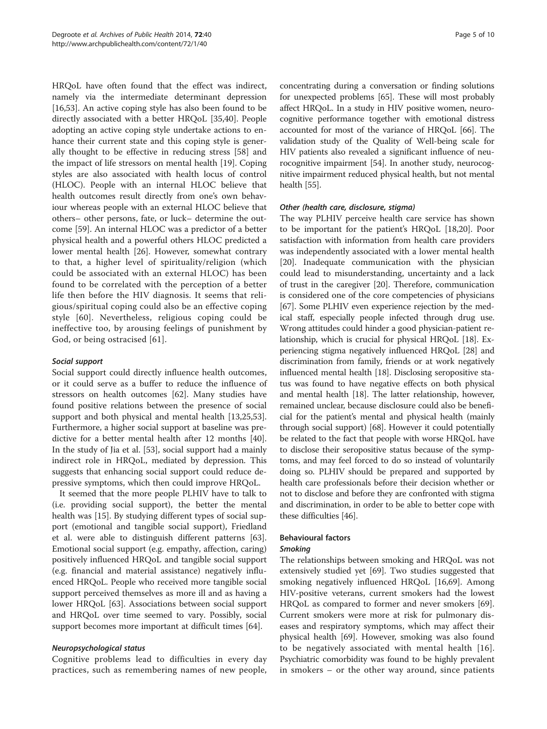HRQoL have often found that the effect was indirect, namely via the intermediate determinant depression [[16,](#page-7-0)[53\]](#page-8-0). An active coping style has also been found to be directly associated with a better HRQoL [\[35,40](#page-7-0)]. People adopting an active coping style undertake actions to enhance their current state and this coping style is generally thought to be effective in reducing stress [\[58](#page-8-0)] and the impact of life stressors on mental health [[19\]](#page-7-0). Coping styles are also associated with health locus of control (HLOC). People with an internal HLOC believe that health outcomes result directly from one's own behaviour whereas people with an external HLOC believe that others– other persons, fate, or luck– determine the outcome [[59\]](#page-8-0). An internal HLOC was a predictor of a better physical health and a powerful others HLOC predicted a lower mental health [[26\]](#page-7-0). However, somewhat contrary to that, a higher level of spirituality/religion (which could be associated with an external HLOC) has been found to be correlated with the perception of a better life then before the HIV diagnosis. It seems that religious/spiritual coping could also be an effective coping style [[60](#page-8-0)]. Nevertheless, religious coping could be ineffective too, by arousing feelings of punishment by God, or being ostracised [[61](#page-8-0)].

# Social support

Social support could directly influence health outcomes, or it could serve as a buffer to reduce the influence of stressors on health outcomes [\[62](#page-8-0)]. Many studies have found positive relations between the presence of social support and both physical and mental health [\[13,25](#page-7-0)[,53](#page-8-0)]. Furthermore, a higher social support at baseline was predictive for a better mental health after 12 months [\[40](#page-7-0)]. In the study of Jia et al. [\[53\]](#page-8-0), social support had a mainly indirect role in HRQoL, mediated by depression. This suggests that enhancing social support could reduce depressive symptoms, which then could improve HRQoL.

It seemed that the more people PLHIV have to talk to (i.e. providing social support), the better the mental health was [[15\]](#page-7-0). By studying different types of social support (emotional and tangible social support), Friedland et al. were able to distinguish different patterns [\[63](#page-8-0)]. Emotional social support (e.g. empathy, affection, caring) positively influenced HRQoL and tangible social support (e.g. financial and material assistance) negatively influenced HRQoL. People who received more tangible social support perceived themselves as more ill and as having a lower HRQoL [[63](#page-8-0)]. Associations between social support and HRQoL over time seemed to vary. Possibly, social support becomes more important at difficult times [[64\]](#page-8-0).

## Neuropsychological status

Cognitive problems lead to difficulties in every day practices, such as remembering names of new people,

concentrating during a conversation or finding solutions for unexpected problems [[65](#page-8-0)]. These will most probably affect HRQoL. In a study in HIV positive women, neurocognitive performance together with emotional distress accounted for most of the variance of HRQoL [\[66\]](#page-8-0). The validation study of the Quality of Well-being scale for HIV patients also revealed a significant influence of neurocognitive impairment [\[54\]](#page-8-0). In another study, neurocognitive impairment reduced physical health, but not mental health [\[55\]](#page-8-0).

# Other (health care, disclosure, stigma)

The way PLHIV perceive health care service has shown to be important for the patient's HRQoL [[18](#page-7-0),[20](#page-7-0)]. Poor satisfaction with information from health care providers was independently associated with a lower mental health [[20\]](#page-7-0). Inadequate communication with the physician could lead to misunderstanding, uncertainty and a lack of trust in the caregiver [[20\]](#page-7-0). Therefore, communication is considered one of the core competencies of physicians [[67](#page-8-0)]. Some PLHIV even experience rejection by the medical staff, especially people infected through drug use. Wrong attitudes could hinder a good physician-patient relationship, which is crucial for physical HRQoL [\[18](#page-7-0)]. Experiencing stigma negatively influenced HRQoL [\[28\]](#page-7-0) and discrimination from family, friends or at work negatively influenced mental health [\[18\]](#page-7-0). Disclosing seropositive status was found to have negative effects on both physical and mental health [[18](#page-7-0)]. The latter relationship, however, remained unclear, because disclosure could also be beneficial for the patient's mental and physical health (mainly through social support) [\[68](#page-8-0)]. However it could potentially be related to the fact that people with worse HRQoL have to disclose their seropositive status because of the symptoms, and may feel forced to do so instead of voluntarily doing so. PLHIV should be prepared and supported by health care professionals before their decision whether or not to disclose and before they are confronted with stigma and discrimination, in order to be able to better cope with these difficulties [[46](#page-8-0)].

## Behavioural factors

## **Smoking**

The relationships between smoking and HRQoL was not extensively studied yet [[69](#page-8-0)]. Two studies suggested that smoking negatively influenced HRQoL [\[16](#page-7-0)[,69](#page-8-0)]. Among HIV-positive veterans, current smokers had the lowest HRQoL as compared to former and never smokers [\[69](#page-8-0)]. Current smokers were more at risk for pulmonary diseases and respiratory symptoms, which may affect their physical health [\[69](#page-8-0)]. However, smoking was also found to be negatively associated with mental health [[16](#page-7-0)]. Psychiatric comorbidity was found to be highly prevalent in smokers – or the other way around, since patients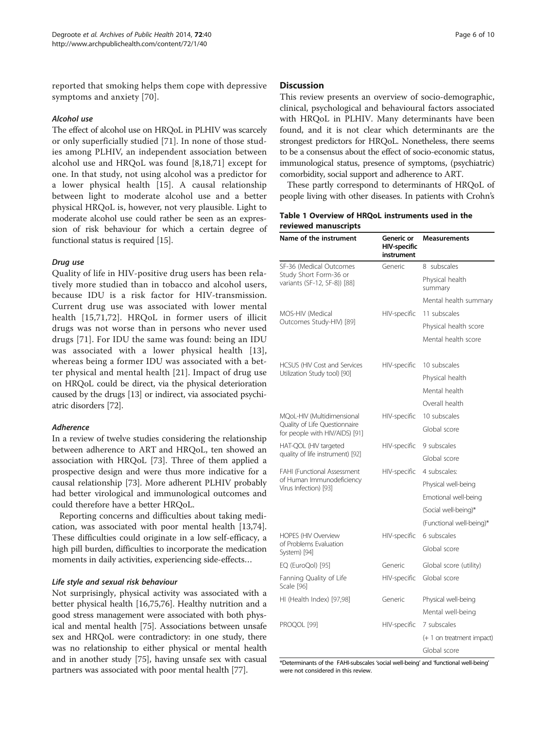<span id="page-5-0"></span>reported that smoking helps them cope with depressive symptoms and anxiety [\[70\]](#page-8-0).

## Alcohol use

The effect of alcohol use on HRQoL in PLHIV was scarcely or only superficially studied [[71\]](#page-8-0). In none of those studies among PLHIV, an independent association between alcohol use and HRQoL was found [\[8,18](#page-7-0),[71\]](#page-8-0) except for one. In that study, not using alcohol was a predictor for a lower physical health [\[15](#page-7-0)]. A causal relationship between light to moderate alcohol use and a better physical HRQoL is, however, not very plausible. Light to moderate alcohol use could rather be seen as an expression of risk behaviour for which a certain degree of functional status is required [[15](#page-7-0)].

## Drug use

Quality of life in HIV-positive drug users has been relatively more studied than in tobacco and alcohol users, because IDU is a risk factor for HIV-transmission. Current drug use was associated with lower mental health [\[15](#page-7-0),[71,72](#page-8-0)]. HRQoL in former users of illicit drugs was not worse than in persons who never used drugs [[71\]](#page-8-0). For IDU the same was found: being an IDU was associated with a lower physical health [[13](#page-7-0)], whereas being a former IDU was associated with a better physical and mental health [\[21\]](#page-7-0). Impact of drug use on HRQoL could be direct, via the physical deterioration caused by the drugs [\[13\]](#page-7-0) or indirect, via associated psychiatric disorders [\[72](#page-8-0)].

## Adherence

In a review of twelve studies considering the relationship between adherence to ART and HRQoL, ten showed an association with HRQoL [\[73\]](#page-8-0). Three of them applied a prospective design and were thus more indicative for a causal relationship [[73](#page-8-0)]. More adherent PLHIV probably had better virological and immunological outcomes and could therefore have a better HRQoL.

Reporting concerns and difficulties about taking medication, was associated with poor mental health [\[13](#page-7-0)[,74](#page-8-0)]. These difficulties could originate in a low self-efficacy, a high pill burden, difficulties to incorporate the medication moments in daily activities, experiencing side-effects…

# Life style and sexual risk behaviour

Not surprisingly, physical activity was associated with a better physical health [\[16](#page-7-0)[,75,76\]](#page-8-0). Healthy nutrition and a good stress management were associated with both physical and mental health [\[75](#page-8-0)]. Associations between unsafe sex and HRQoL were contradictory: in one study, there was no relationship to either physical or mental health and in another study [\[75\]](#page-8-0), having unsafe sex with casual partners was associated with poor mental health [\[77\]](#page-8-0).

# **Discussion**

This review presents an overview of socio-demographic, clinical, psychological and behavioural factors associated with HRQoL in PLHIV. Many determinants have been found, and it is not clear which determinants are the strongest predictors for HRQoL. Nonetheless, there seems to be a consensus about the effect of socio-economic status, immunological status, presence of symptoms, (psychiatric) comorbidity, social support and adherence to ART.

These partly correspond to determinants of HRQoL of people living with other diseases. In patients with Crohn's

| Table 1 Overview of HRQoL instruments used in the |  |
|---------------------------------------------------|--|
| reviewed manuscripts                              |  |

| Name of the instrument                                                            | Generic or<br><b>HIV-specific</b><br>instrument | <b>Measurements</b>        |
|-----------------------------------------------------------------------------------|-------------------------------------------------|----------------------------|
| SF-36 (Medical Outcomes<br>Study Short Form-36 or<br>variants (SF-12, SF-8)) [88] | Generic                                         | 8 subscales                |
|                                                                                   |                                                 | Physical health<br>summary |
|                                                                                   |                                                 | Mental health summary      |
| MOS-HIV (Medical<br>Outcomes Study-HIV) [89]                                      | HIV-specific                                    | 11 subscales               |
|                                                                                   |                                                 | Physical health score      |
|                                                                                   |                                                 | Mental health score        |
| <b>HCSUS (HIV Cost and Services</b>                                               | HIV-specific                                    | 10 subscales               |
| Utilization Study tool) [90]                                                      |                                                 | Physical health            |
|                                                                                   |                                                 | Mental health              |
|                                                                                   |                                                 | Overall health             |
| MQoL-HIV (Multidimensional                                                        | HIV-specific                                    | 10 subscales               |
| Quality of Life Questionnaire<br>for people with HIV/AIDS) [91]                   |                                                 | Global score               |
| HAT-QOL (HIV targeted<br>quality of life instrument) [92]                         | HIV-specific                                    | 9 subscales                |
|                                                                                   |                                                 | Global score               |
| FAHI (Functional Assessment<br>of Human Immunodeficiency<br>Virus Infection) [93] | HIV-specific                                    | 4 subscales:               |
|                                                                                   |                                                 | Physical well-being        |
|                                                                                   |                                                 | Emotional well-being       |
|                                                                                   |                                                 | (Social well-being)*       |
|                                                                                   |                                                 | (Functional well-being)*   |
| <b>HOPES (HIV Overview</b><br>of Problems Evaluation                              | HIV-specific                                    | 6 subscales                |
| System) [94]                                                                      |                                                 | Global score               |
| EQ (EuroQol) [95]                                                                 | Generic                                         | Global score (utility)     |
| Fanning Quality of Life<br>Scale [96]                                             | HIV-specific                                    | Global score               |
| HI (Health Index) [97,98]                                                         | Generic                                         | Physical well-being        |
|                                                                                   |                                                 | Mental well-being          |
| PROQOL [99]                                                                       | HIV-specific                                    | 7 subscales                |
|                                                                                   |                                                 | (+ 1 on treatment impact)  |
|                                                                                   |                                                 | Global score               |

\*Determinants of the FAHI-subscales 'social well-being' and 'functional well-being' were not considered in this review.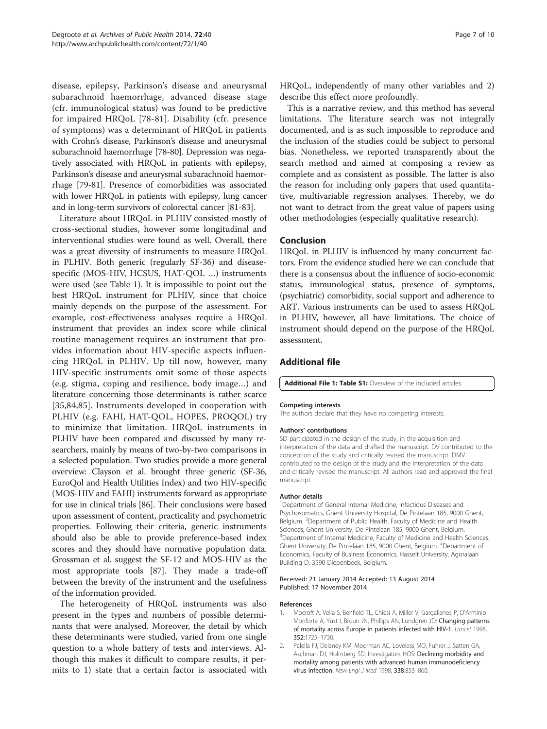<span id="page-6-0"></span>disease, epilepsy, Parkinson's disease and aneurysmal subarachnoid haemorrhage, advanced disease stage (cfr. immunological status) was found to be predictive for impaired HRQoL [[78-81\]](#page-8-0). Disability (cfr. presence of symptoms) was a determinant of HRQoL in patients with Crohn's disease, Parkinson's disease and aneurysmal subarachnoid haemorrhage [\[78-80\]](#page-8-0). Depression was negatively associated with HRQoL in patients with epilepsy, Parkinson's disease and aneurysmal subarachnoid haemorrhage [\[79](#page-8-0)-[81](#page-8-0)]. Presence of comorbidities was associated with lower HRQoL in patients with epilepsy, lung cancer and in long-term survivors of colorectal cancer [\[81-83\]](#page-8-0).

Literature about HRQoL in PLHIV consisted mostly of cross-sectional studies, however some longitudinal and interventional studies were found as well. Overall, there was a great diversity of instruments to measure HRQoL in PLHIV. Both generic (regularly SF-36) and diseasespecific (MOS-HIV, HCSUS, HAT-QOL …) instruments were used (see Table [1](#page-5-0)). It is impossible to point out the best HRQoL instrument for PLHIV, since that choice mainly depends on the purpose of the assessment. For example, cost-effectiveness analyses require a HRQoL instrument that provides an index score while clinical routine management requires an instrument that provides information about HIV-specific aspects influencing HRQoL in PLHIV. Up till now, however, many HIV-specific instruments omit some of those aspects (e.g. stigma, coping and resilience, body image…) and literature concerning those determinants is rather scarce [[35](#page-7-0),[84,85](#page-8-0)]. Instruments developed in cooperation with PLHIV (e.g. FAHI, HAT-QOL, HOPES, PROQOL) try to minimize that limitation. HRQoL instruments in PLHIV have been compared and discussed by many researchers, mainly by means of two-by-two comparisons in a selected population. Two studies provide a more general overview: Clayson et al. brought three generic (SF-36, EuroQol and Health Utilities Index) and two HIV-specific (MOS-HIV and FAHI) instruments forward as appropriate for use in clinical trials [\[86\]](#page-8-0). Their conclusions were based upon assessment of content, practicality and psychometric properties. Following their criteria, generic instruments should also be able to provide preference-based index scores and they should have normative population data. Grossman et al. suggest the SF-12 and MOS-HIV as the most appropriate tools [\[87](#page-8-0)]. They made a trade-off between the brevity of the instrument and the usefulness of the information provided.

The heterogeneity of HRQoL instruments was also present in the types and numbers of possible determinants that were analysed. Moreover, the detail by which these determinants were studied, varied from one single question to a whole battery of tests and interviews. Although this makes it difficult to compare results, it permits to 1) state that a certain factor is associated with HRQoL, independently of many other variables and 2) describe this effect more profoundly.

This is a narrative review, and this method has several limitations. The literature search was not integrally documented, and is as such impossible to reproduce and the inclusion of the studies could be subject to personal bias. Nonetheless, we reported transparently about the search method and aimed at composing a review as complete and as consistent as possible. The latter is also the reason for including only papers that used quantitative, multivariable regression analyses. Thereby, we do not want to detract from the great value of papers using other methodologies (especially qualitative research).

# Conclusion

HRQoL in PLHIV is influenced by many concurrent factors. From the evidence studied here we can conclude that there is a consensus about the influence of socio-economic status, immunological status, presence of symptoms, (psychiatric) comorbidity, social support and adherence to ART. Various instruments can be used to assess HRQoL in PLHIV, however, all have limitations. The choice of instrument should depend on the purpose of the HRQoL assessment.

## Additional file

[Additional File 1: Table S1:](http://www.biomedcentral.com/content/supplementary/2049-3258-72-40-S1.docx) Overview of the included articles

#### Competing interests

The authors declare that they have no competing interests.

#### Authors' contributions

SD participated in the design of the study, in the acquisition and interpretation of the data and drafted the manuscript. DV contributed to the conception of the study and critically revised the manuscript. DMV contributed to the design of the study and the interpretation of the data and critically revised the manuscript. All authors read and approved the final manuscript.

#### Author details

<sup>1</sup>Department of General Internal Medicine, Infectious Diseases and Psychosomatics, Ghent University Hospital, De Pintelaan 185, 9000 Ghent, Belgium. <sup>2</sup> Department of Public Health, Faculty of Medicine and Health Sciences, Ghent University, De Pintelaan 185, 9000 Ghent, Belgium. <sup>3</sup>Department of Internal Medicine, Faculty of Medicine and Health Sciences Ghent University, De Pintelaan 185, 9000 Ghent, Belgium. <sup>4</sup>Department of Economics, Faculty of Business Economics, Hasselt University, Agoralaan Building D, 3590 Diepenbeek, Belgium.

#### Received: 21 January 2014 Accepted: 13 August 2014 Published: 17 November 2014

#### References

- 1. Mocroft A, Vella S, Benfield TL, Chiesi A, Miller V, Gargalianos P, D'Arminio Monforte A, Yust I, Bruun JN, Phillips AN, Lundgren JD: Changing patterns of mortality across Europe in patients infected with HIV-1. Lancet 1998, 352:1725–1730.
- 2. Palella FJ, Delaney KM, Moorman AC, Loveless MO, Fuhrer J, Satten GA, Aschman DJ, Holmberg SD, Investigators HOS: Declining morbidity and mortality among patients with advanced human immunodeficiency virus infection. New Engl J Med 1998, 338:853–860.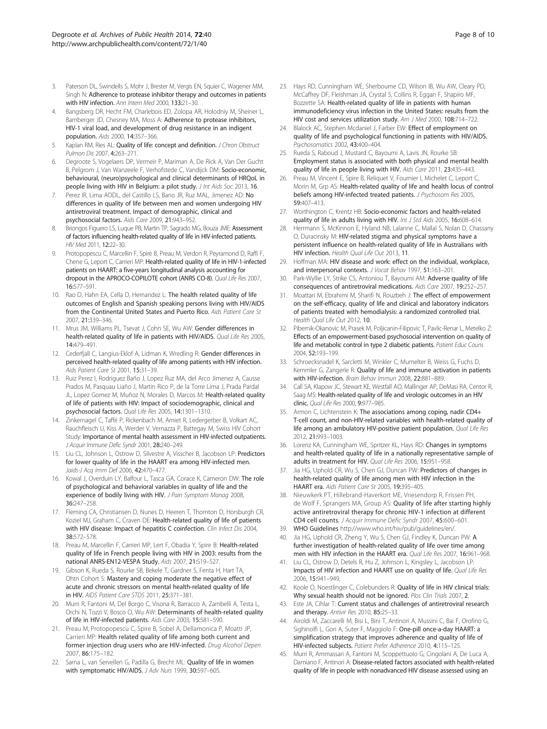- <span id="page-7-0"></span>3. Paterson DL, Swindells S, Mohr J, Brester M, Vergis EN, Squier C, Wagener MM, Singh N: Adherence to protease inhibitor therapy and outcomes in patients with HIV infection. Ann Intern Med 2000, 133:21–30.
- 4. Bangsberg DR, Hecht FM, Charlebois ED, Zolopa AR, Holodniy M, Sheiner L, Bamberger JD, Chesney MA, Moss A: Adherence to protease inhibitors, HIV-1 viral load, and development of drug resistance in an indigent population. Aids 2000, 14:357–366.
- 5. Kaplan RM, Ries AL: Quality of life: concept and definition. J Chron Obstruct Pulmon Dis 2007, 4:263–271.
- 6. Degroote S, Vogelaers DP, Vermeir P, Mariman A, De Rick A, Van Der Gucht B, Pelgrom J, Van Wanzeele F, Verhofstede C, Vandijck DM: Socio-economic, behavioural, (neuro)psychological and clinical determinants of HRQoL in people living with HIV in Belgium: a pilot study. J Int Aids Soc 2013, 16.
- 7. Perez IR, Lima AODL, del Castillo LS, Bano JR, Ruz MAL, Jimenez AD: No differences in quality of life between men and women undergoing HIV antiretroviral treatment. Impact of demographic, clinical and psychosocial factors. Aids Care 2009, 21:943–952.
- Briongos Figuero LS, Luque PB, Martin TP, Sagrado MG, Bouza JME: Assessment of factors influencing health-related quality of life in HIV-infected patients. HIV Med 2011, 12:22-30.
- 9. Protopopescu C, Marcellin F, Spire B, Preau M, Verdon R, Peyramond D, Raffi F, Chene G, Leport C, Carrieri MP: Health-related quality of life in HIV-1-infected patients on HAART: a five-years longitudinal analysis accounting for dropout in the APROCO-COPILOTE cohort (ANRS CO-8). Qual Life Res 2007, 16:577–591.
- 10. Rao D, Hahn EA, Cella D, Hernandez L: The health related quality of life outcomes of English and Spanish speaking persons living with HIV/AIDS from the Continental United States and Puerto Rico. Aids Patient Care St 2007, 21:339–346.
- 11. Mrus JM, Williams PL, Tsevat J, Cohn SE, Wu AW: Gender differences in health-related quality of life in patients with HIV/AIDS. Qual Life Res 2005, 14:479–491.
- 12. Cederfjall C, Langius-Eklof A, Lidman K, Wredling R: Gender differences in perceived health-related quality of life among patients with HIV infection. Aids Patient Care St 2001, 15:31–39.
- 13. Ruiz Perez I, Rodriguez Baño J, Lopez Ruz MA, del Arco Jimenez A, Causse Prados M, Pasquau Liaño J, Martin Rico P, de la Torre Lima J, Prada Pardal JL, Lopez Gomez M, Muñoz N, Morales D, Marcos M: Health-related quality of life of patients with HIV: Impact of sociodemographic, clinical and psychosocial factors. Qual Life Res 2005, 14:1301–1310.
- 14. Zinkernagel C, Taffé P, Rickenbach M, Amiet R, Ledergerber B, Volkart AC, Rauchfleisch U, Kiss A, Werder V, Vernazza P, Battegay M, Swiss HIV Cohort Study: Importance of mental health assessment in HIV-infected outpatients. J Acquir Immune Defic Syndr 2001, 28:240–249.
- 15. Liu CL, Johnson L, Ostrow D, Silvestre A, Visscher B, Jacobson LP: Predictors for lower quality of life in the HAART era among HIV-infected men. Jaids-J Acq Imm Def 2006, 42:470–477.
- 16. Kowal J, Overduin LY, Balfour L, Tasca GA, Corace K, Cameron DW: The role of psychological and behavioral variables in quality of life and the experience of bodily living with HIV. J Pain Symptom Manag 2008, 36:247–258.
- 17. Fleming CA, Christiansen D, Nunes D, Heeren T, Thornton D, Horsburgh CR, Koziel MJ, Graham C, Craven DE: Health-related quality of life of patients with HIV disease: Impact of hepatitis C coinfection. Clin Infect Dis 2004, 38:572–578.
- 18. Preau M, Marcellin F, Carrieri MP, Lert F, Obadia Y, Spire B: Health-related quality of life in French people living with HIV in 2003: results from the national ANRS-EN12-VESPA Study. Aids 2007, 21:S19–S27.
- 19. Gibson K, Rueda S, Rourke SB, Bekele T, Gardner S, Fenta H, Hart TA, Ohtn Cohort S: Mastery and coping moderate the negative effect of acute and chronic stressors on mental health-related quality of life in HIV. AIDS Patient Care STDS 2011, 25:371–381.
- 20. Murri R, Fantoni M, Del Borgo C, Visona R, Barracco A, Zambelli A, Testa L, Orchi N, Tozzi V, Bosco O, Wu AW: Determinants of health-related quality of life in HIV-infected patients. Aids Care 2003, 15:581–590.
- 21. Preau M, Protopopescu C, Spire B, Sobel A, Dellamonica P, Moatti JP, Carrieri MP: Health related quality of life among both current and former injection drug users who are HIV-infected. Drug Alcohol Depen 2007, 86:175–182.
- 22. Sarna L, van Servellen G, Padilla G, Brecht ML: Quality of life in women with symptomatic HIV/AIDS. J Adv Nurs 1999, 30:597-605.
- 23. Hays RD, Cunningham WE, Sherbourne CD, Wilson IB, Wu AW, Cleary PD, McCaffrey DF, Fleishman JA, Crystal S, Collins R, Eggan F, Shapiro MF, Bozzette SA: Health-related quality of life in patients with human immunodeficiency virus infection in the United States: results from the HIV cost and services utilization study. Am J Med 2000, 108:714-722.
- 24. Blalock AC, Stephen Mcdaniel J, Farber EW: Effect of employment on quality of life and psychological functioning in patients with HIV/AIDS. Psychosomatics 2002, 43:400–404.
- 25. Rueda S, Raboud J, Mustard C, Bayoumi A, Lavis JN, Rourke SB: Employment status is associated with both physical and mental health quality of life in people living with HIV. Aids Care 2011, 23:435–443.
- 26. Preau M, Vincent E, Spire B, Reliquet V, Fournier I, Michelet C, Leport C, Morin M, Grp AS: Health-related quality of life and health locus of control beliefs among HIV-infected treated patients. J Psychosom Res 2005, 59:407–413.
- 27. Worthington C, Krentz HB: Socio-economic factors and health-related quality of life in adults living with HIV. Int J Std Aids 2005, 16:608-614.
- Herrmann S, McKinnon E, Hyland NB, Lalanne C, Mallal S, Nolan D, Chassany O, Duracinsky M: HIV-related stigma and physical symptoms have a persistent influence on health-related quality of life in Australians with HIV infection. Health Qual Life Out 2013, 11.
- 29. Hoffman MA: HIV disease and work: effect on the individual, workplace, and interpersonal contexts. J Vocat Behav 1997, 51:163–201.
- 30. Park-Wyllie LY, Strike CS, Antoniou T, Bayoumi AM: Adverse quality of life consequences of antiretroviral medications. Aids Care 2007, 19:252–257.
- 31. Moattari M, Ebrahimi M, Sharifi N, Rouzbeh J: The effect of empowerment on the self-efficacy, quality of life and clinical and laboratory indicators of patients treated with hemodialysis: a randomized controlled trial. Health Qual Life Out 2012, 10.
- 32. Pibernik-Okanovic M, Prasek M, Poljicanin-Filipovic T, Pavlic-Renar L, Metelko Z: Effects of an empowerment-based psychosocial intervention on quality of life and metabolic control in type 2 diabetic patients. Patient Educ Couns 2004, 52:193–199.
- 33. Schroecksnadel K, Sarcletti M, Winkler C, Mumelter B, Weiss G, Fuchs D, Kemmler G, Zangerle R: Quality of life and immune activation in patients with HIV-infection. Brain Behav Immun 2008, 22:881–889.
- 34. Call SA, Klapow JC, Stewart KE, Westfall AO, Mallinger AP, DeMasi RA, Centor R, Saag MS: Health-related quality of life and virologic outcomes in an HIV clinic. Qual Life Res 2000, 9:977–985.
- 35. Armon C, Lichtenstein K: The associations among coping, nadir CD4+ T-cell count, and non-HIV-related variables with health-related quality of life among an ambulatory HIV-positive patient population. Qual Life Res 2012, 21:993–1003.
- 36. Lorenz KA, Cunningham WE, Spritzer KL, Hays RD: Changes in symptoms and health-related quality of life in a nationally representative sample of adults in treatment for HIV. Qual Life Res 2006, 15:951–958.
- 37. Jia HG, Uphold CR, Wu S, Chen GJ, Duncan PW: Predictors of changes in health-related quality of life among men with HIV infection in the HAART era. Aids Patient Care St 2005, 19:395–405.
- 38. Nieuwkerk PT, Hillebrand-Haverkort ME, Vriesendorp R, Frissen PH, de Wolf F, Sprangers MA, Group AS: Quality of life after starting highly active antiretroviral therapy for chronic HIV-1 infection at different CD4 cell counts. J Acquir Immune Defic Syndr 2007, 45:600–601.
- 39. WHO Guidelines [http://www.who.int/hiv/pub/guidelines/en/.](http://www.who.int/hiv/pub/guidelines/en/)
- 40. Jia HG, Uphold CR, Zheng Y, Wu S, Chen GJ, Findley K, Duncan PW: A further investigation of health-related quality of life over time among men with HIV infection in the HAART era. Qual Life Res 2007, 16:961–968.
- 41. Liu CL, Ostrow D, Detels R, Hu Z, Johnson L, Kingsley L, Jacobson LP: Impacts of HIV infection and HAART use on quality of life. Qual Life Res 2006, 15:941–949.
- 42. Koole O, Noestlinger C, Colebunders R: Quality of life in HIV clinical trials: Why sexual health should not be ignored. Plos Clin Trials 2007, 2.
- 43. Este JA, Cihlar T: Current status and challenges of antiretroviral research and therapy. Antivir Res 2010, 85:25–33.
- 44. Airoldi M, Zaccarelli M, Bisi L, Bini T, Antinori A, Mussini C, Bai F, Orofino G, Sighinolfi L, Gori A, Suter F, Maggiolo F: One-pill once-a-day HAART: a simplification strategy that improves adherence and quality of life of HIV-infected subjects. Patient Prefer Adherence 2010, 4:115–125.
- 45. Murri R, Ammassari A, Fantoni M, Scoppettuolo G, Cingolani A, De Luca A, Damiano F, Antinori A: Disease-related factors associated with health-related quality of life in people with nonadvanced HIV disease assessed using an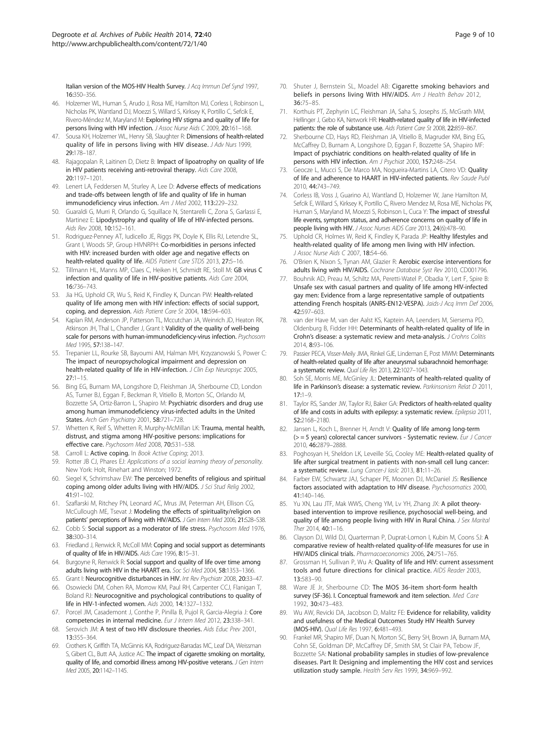<span id="page-8-0"></span>Italian version of the MOS-HIV Health Survey. J Acq Immun Def Synd 1997, 16:350–356.

- 46. Holzemer WL, Human S, Arudo J, Rosa ME, Hamilton MJ, Corless I, Robinson L, Nicholas PK, Wantland DJ, Moezzi S, Willard S, Kirksey K, Portillo C, Sefcik E, Rivero-Méndez M, Maryland M: Exploring HIV stigma and quality of life for persons living with HIV infection. J Assoc Nurse Aids C 2009, 20:161–168.
- 47. Sousa KH, Holzemer WL, Henry SB, Slaughter R: Dimensions of health-related quality of life in persons living with HIV disease. J Adv Nurs 1999, 29:178–187.
- 48. Rajagopalan R, Laitinen D, Dietz B: Impact of lipoatrophy on quality of life in HIV patients receiving anti-retroviral therapy. Aids Care 2008, 20:1197–1201.
- 49. Lenert LA, Feddersen M, Sturley A, Lee D: Adverse effects of medications and trade-offs between length of life and quality of life in human immunodeficiency virus infection. Am J Med 2002, 113:229–232.
- 50. Guaraldi G, Murri R, Orlando G, Squillace N, Stentarelli C, Zona S, Garlassi E, Martinez E: Lipodystrophy and quality of life of HIV-infected persons. Aids Rev 2008, 10:152–161.
- 51. Rodriguez-Penney AT, Iudicello JE, Riggs PK, Doyle K, Ellis RJ, Letendre SL, Grant I, Woods SP, Group HIVNRPH: Co-morbidities in persons infected with HIV: increased burden with older age and negative effects on health-related quality of life. AIDS Patient Care STDS 2013, 27:5–16.
- 52. Tillmann HL, Manns MP, Claes C, Heiken H, Schmidt RE, Stoll M: GB virus C infection and quality of life in HIV-positive patients. Aids Care 2004, 16:736–743.
- 53. Jia HG, Uphold CR, Wu S, Reid K, Findley K, Duncan PW: Health-related quality of life among men with HIV infection: effects of social support, coping, and depression. Aids Patient Care St 2004, 18:594–603.
- 54. Kaplan RM, Anderson JP, Patterson TL, Mccutchan JA, Weinrich JD, Heaton RK, Atkinson JH, Thal L, Chandler J, Grant I: Validity of the quality of well-being scale for persons with human-immunodeficiency-virus infection. Psychosom Med 1995, 57:138–147.
- 55. Trepanier LL, Rourke SB, Bayoumi AM, Halman MH, Krzyzanowski S, Power C: The impact of neuropsychological impairment and depression on health-related quality of life in HIV-infection. J Clin Exp Neuropsyc 2005, 27:1–15.
- 56. Bing EG, Burnam MA, Longshore D, Fleishman JA, Sherbourne CD, London AS, Turner BJ, Eggan F, Beckman R, Vitiello B, Morton SC, Orlando M, Bozzette SA, Ortiz-Barron L, Shapiro M: Psychiatric disorders and drug use among human immunodeficiency virus-infected adults in the United States. Arch Gen Psychiatry 2001, 58:721-728.
- 57. Whetten K, Reif S, Whetten R, Murphy-McMillan LK: Trauma, mental health, distrust, and stigma among HIV-positive persons: implications for effective care. Psychosom Med 2008, 70:531–538.
- 58. Carroll L: Active coping. In Book Active Coping; 2013.
- 59. Rotter JB CJ, Phares EJ: Applications of a social learning theory of personality. New York: Holt, Rinehart and Winston; 1972.
- 60. Siegel K, Schrimshaw EW: The perceived benefits of religious and spiritual coping among older adults living with HIV/AIDS. J Sci Stud Relig 2002, 41:91–102.
- 61. Szaflarski M, Ritchey PN, Leonard AC, Mrus JM, Peterman AH, Ellison CG, McCullough ME, Tsevat J: Modeling the effects of spirituality/religion on patients' perceptions of living with HIV/AIDS. J Gen Intern Med 2006, 21:S28-S38.
- 62. Cobb S: Social support as a moderator of life stress. Psychosom Med 1976, 38:300–314.
- 63. Friedland J, Renwick R, McColl MM: Coping and social support as determinants of quality of life in HIV/AIDS. Aids Care 1996, 8:15–31.
- 64. Burgoyne R, Renwick R: Social support and quality of life over time among adults living with HIV in the HAART era. Soc Sci Med 2004, 58:1353–1366.
- 65. Grant I: Neurocognitive disturbances in HIV. Int Rev Psychiatr 2008, 20:33–47.
- 66. Osowiecki DM, Cohen RA, Morrow KM, Paul RH, Carpenter CCJ, Flanigan T, Boland RJ: Neurocognitive and psychological contributions to quality of life in HIV-1-infected women. Aids 2000, 14:1327–1332.
- 67. Porcel JM, Casademont J, Conthe P, Pinilla B, Pujol R, Garcia-Alegria J: Core competencies in internal medicine. Eur J Intern Med 2012, 23:338–341.
- 68. Serovich JM: A test of two HIV disclosure theories. Aids Educ Prev 2001, 13:355–364.
- 69. Crothers K, Griffith TA, McGinnis KA, Rodriguez-Barradas MC, Leaf DA, Weissman S, Gibert CL, Butt AA, Justice AC: The impact of cigarette smoking on mortality, quality of life, and comorbid illness among HIV-positive veterans. J Gen Intern Med 2005, 20:1142–1145.
- 70. Shuter J, Bernstein SL, Moadel AB: Cigarette smoking behaviors and beliefs in persons living With HIV/AIDS. Am J Health Behav 2012, 36:75–85.
- 71. Korthuis PT, Zephyrin LC, Fleishman JA, Saha S, Josephs JS, McGrath MM, Hellinger J, Gebo KA, Network HR: Health-related quality of life in HIV-infected patients: the role of substance use. Aids Patient Care St 2008, 22:859–867.
- 72. Sherbourne CD, Hays RD, Fleishman JA, Vitiello B, Magruder KM, Bing EG, McCaffrey D, Burnam A, Longshore D, Eggan F, Bozzette SA, Shapiro MF: Impact of psychiatric conditions on health-related quality of life in persons with HIV infection. Am J Psychiat 2000, 157:248–254.
- .<br>Geocze L, Mucci S, De Marco MA, Nogueira-Martins LA, Citero VD: Quality of life and adherence to HAART in HIV-infected patients. Rev Saude Publ 2010, 44:743–749.
- 74. Corless IB, Voss J, Guarino AJ, Wantland D, Holzemer W, Jane Hamilton M, Sefcik E, Willard S, Kirksey K, Portillo C, Rivero Mendez M, Rosa ME, Nicholas PK, Human S, Maryland M, Moezzi S, Robinson L, Cuca Y: The impact of stressful life events, symptom status, and adherence concerns on quality of life in people living with HIV. J Assoc Nurses AIDS Care 2013, 24(6):478-90.
- 75. Uphold CR, Holmes W, Reid K, Findley K, Parada JP: Healthy lifestyles and health-related quality of life among men living with HIV infection. J Assoc Nurse Aids C 2007, 18:54–66.
- 76. O'Brien K, Nixon S, Tynan AM, Glazier R: Aerobic exercise interventions for adults living with HIV/AIDS. Cochrane Database Syst Rev 2010, CD001796.
- 77. Bouhnik AD, Preau M, Schiltz MA, Peretti-Watel P, Obadia Y, Lert F, Spire B: Unsafe sex with casual partners and quality of life among HIV-infected gay men: Evidence from a large representative sample of outpatients attending French hospitals (ANRS-EN12-VESPA). Jaids-J Acq Imm Def 2006, 42:597–603.
- 78. van der Have M, van der Aalst KS, Kaptein AA, Leenders M, Siersema PD, Oldenburg B, Fidder HH: Determinants of health-related quality of life in Crohn's disease: a systematic review and meta-analysis. J Crohns Colitis 2014, 8:93–106.
- 79. Passier PECA, Visser-Meily JMA, Rinkel GJE, Lindeman E, Post MWM: Determinants of health-related quality of life after aneurysmal subarachnoid hemorrhage: a systematic review. Qual Life Res 2013, 22:1027–1043.
- 80. Soh SE, Morris ME, McGinley JL: Determinants of health-related quality of life in Parkinson's disease: a systematic review. Parkinsonism Relat D 2011,  $17:1-9$
- 81. Taylor RS, Sander JW, Taylor RJ, Baker GA: Predictors of health-related quality of life and costs in adults with epilepsy: a systematic review. Epilepsia 2011, 52:2168–2180.
- 82. Jansen L, Koch L, Brenner H, Arndt V: Quality of life among long-term (> = 5 years) colorectal cancer survivors - Systematic review. Eur J Cancer 2010, 46:2879–2888.
- 83. Poghosyan H, Sheldon LK, Leveille SG, Cooley ME: Health-related quality of life after surgical treatment in patients with non-small cell lung cancer: a systematic review. Lung Cancer-J laslc 2013, 81:11-26.
- 84. Farber EW, Schwartz JAJ, Schaper PE, Moonen DJ, McDaniel JS: Resilience factors associated with adaptation to HIV disease. Psychosomatics 2000, 41:140–146.
- 85. Yu XN, Lau JTF, Mak WWS, Cheng YM, Lv YH, Zhang JX: A pilot theorybased intervention to improve resilience, psychosocial well-being, and quality of life among people living with HIV in Rural China. J Sex Marital Ther 2014, 40:1-16.
- 86. Clayson DJ, Wild DJ, Quarterman P, Duprat-Lomon I, Kubin M, Coons SJ: A comparative review of health-related quality-of-life measures for use in HIV/AIDS clinical trials. Pharmacoeconomics 2006, 24:751–765.
- 87. Grossman H, Sullivan P, Wu A: Quality of life and HIV: current assessment tools and future directions for clinical practice. AIDS Reader 2003, 13:583–90.
- 88. Ware JE Jr, Sherbourne CD: The MOS 36-item short-form health survey (SF-36). I. Conceptual framework and item selection. Med Care 1992, 30:473–483.
- 89. Wu AW, Revicki DA, Jacobson D, Malitz FE: Evidence for reliability, validity and usefulness of the Medical Outcomes Study HIV Health Survey (MOS-HIV). Qual Life Res 1997, 6:481–493.
- 90. Frankel MR, Shapiro MF, Duan N, Morton SC, Berry SH, Brown JA, Burnam MA, Cohn SE, Goldman DP, McCaffrey DF, Smith SM, St Clair PA, Tebow JF, Bozzette SA: National probability samples in studies of low-prevalence diseases. Part II: Designing and implementing the HIV cost and services utilization study sample. Health Serv Res 1999, 34:969–992.